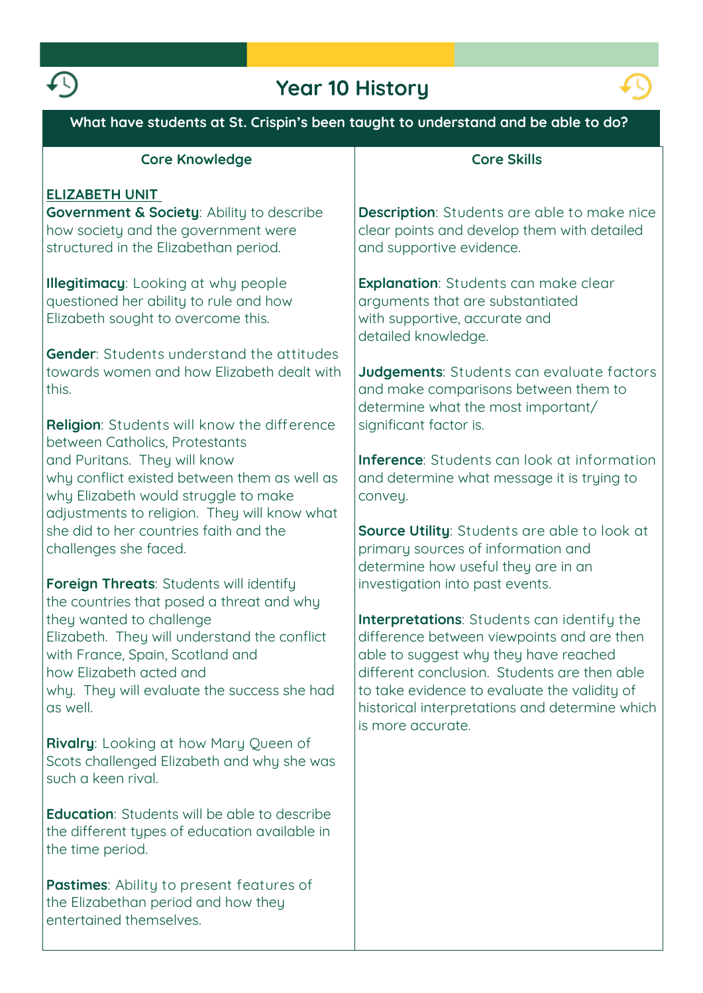

# **Year 10 History**



| What have students at St. Crispin's been taught to understand and be able to do?                                                                                                                                                                      |                                                                                                                                                                                                                                                                                                          |
|-------------------------------------------------------------------------------------------------------------------------------------------------------------------------------------------------------------------------------------------------------|----------------------------------------------------------------------------------------------------------------------------------------------------------------------------------------------------------------------------------------------------------------------------------------------------------|
| <b>Core Knowledge</b>                                                                                                                                                                                                                                 | <b>Core Skills</b>                                                                                                                                                                                                                                                                                       |
| <b>ELIZABETH UNIT</b><br><b>Government &amp; Society: Ability to describe</b><br>how society and the government were<br>structured in the Elizabethan period.                                                                                         | <b>Description:</b> Students are able to make nice<br>clear points and develop them with detailed<br>and supportive evidence.                                                                                                                                                                            |
| <b>Illegitimacy:</b> Looking at why people<br>questioned her ability to rule and how<br>Elizabeth sought to overcome this.<br><b>Gender:</b> Students understand the attitudes                                                                        | <b>Explanation:</b> Students can make clear<br>arguments that are substantiated<br>with supportive, accurate and<br>detailed knowledge.                                                                                                                                                                  |
| towards women and how Elizabeth dealt with<br>this.                                                                                                                                                                                                   | Judgements: Students can evaluate factors<br>and make comparisons between them to<br>determine what the most important/                                                                                                                                                                                  |
| Religion: Students will know the difference<br>between Catholics, Protestants<br>and Puritans. They will know<br>why conflict existed between them as well as<br>why Elizabeth would struggle to make<br>adjustments to religion. They will know what | significant factor is.<br><b>Inference:</b> Students can look at information<br>and determine what message it is trying to<br>convey.                                                                                                                                                                    |
| she did to her countries faith and the<br>challenges she faced.<br>Foreign Threats: Students will identify                                                                                                                                            | Source Utility: Students are able to look at<br>primary sources of information and<br>determine how useful they are in an<br>investigation into past events.                                                                                                                                             |
| the countries that posed a threat and why<br>they wanted to challenge<br>Elizabeth. They will understand the conflict<br>with France, Spain, Scotland and<br>how Elizabeth acted and<br>why. They will evaluate the success she had<br>as well.       | Interpretations: Students can identify the<br>difference between viewpoints and are then<br>able to suggest why they have reached<br>different conclusion. Students are then able<br>to take evidence to evaluate the validity of<br>historical interpretations and determine which<br>is more accurate. |
| Rivalry: Looking at how Mary Queen of<br>Scots challenged Elizabeth and why she was<br>such a keen rival.                                                                                                                                             |                                                                                                                                                                                                                                                                                                          |
| <b>Education:</b> Students will be able to describe<br>the different types of education available in<br>the time period.                                                                                                                              |                                                                                                                                                                                                                                                                                                          |
| <b>Pastimes:</b> Ability to present features of<br>the Elizabethan period and how they<br>entertained themselves.                                                                                                                                     |                                                                                                                                                                                                                                                                                                          |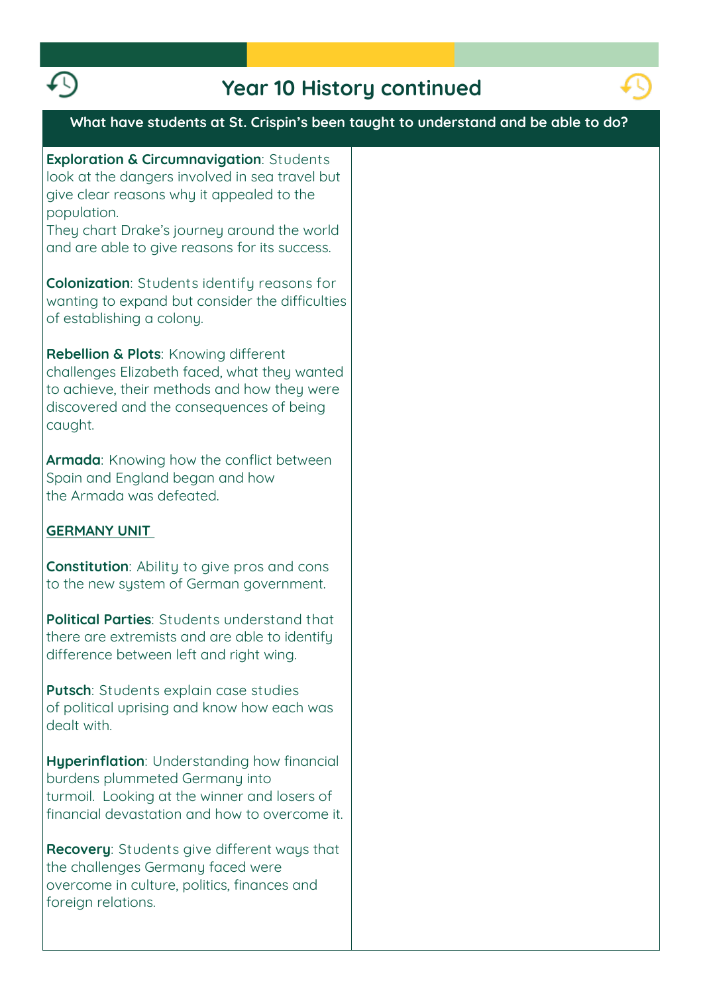

### **Year 10 History continued**



### **What have students at St. Crispin's been taught to understand and be able to do?**

**Exploration & Circumnavigation: Students look at the dangers involved in sea travel but give clear reasons why it appealed to the population.**

**They chart Drake's journey around the world and are able to give reasons for its success.**

**Colonization: Students identify reasons for wanting to expand but consider the difficulties of establishing a colony.**

**Rebellion & Plots: Knowing different challenges Elizabeth faced, what they wanted to achieve, their methods and how they were discovered and the consequences of being caught.** 

**Armada: Knowing how the conflict between Spain and England began and how the Armada was defeated.**

#### **GERMANY UNIT**

**Constitution: Ability to give pros and cons to the new system of German government.**

**Political Parties: Students understand that there are extremists and are able to identify difference between left and right wing.**

**Putsch: Students explain case studies of political uprising and know how each was dealt with.**

**Hyperinflation: Understanding how financial burdens plummeted Germany into turmoil. Looking at the winner and losers of financial devastation and how to overcome it.**

**Recovery: Students give different ways that the challenges Germany faced were overcome in culture, politics, finances and foreign relations.**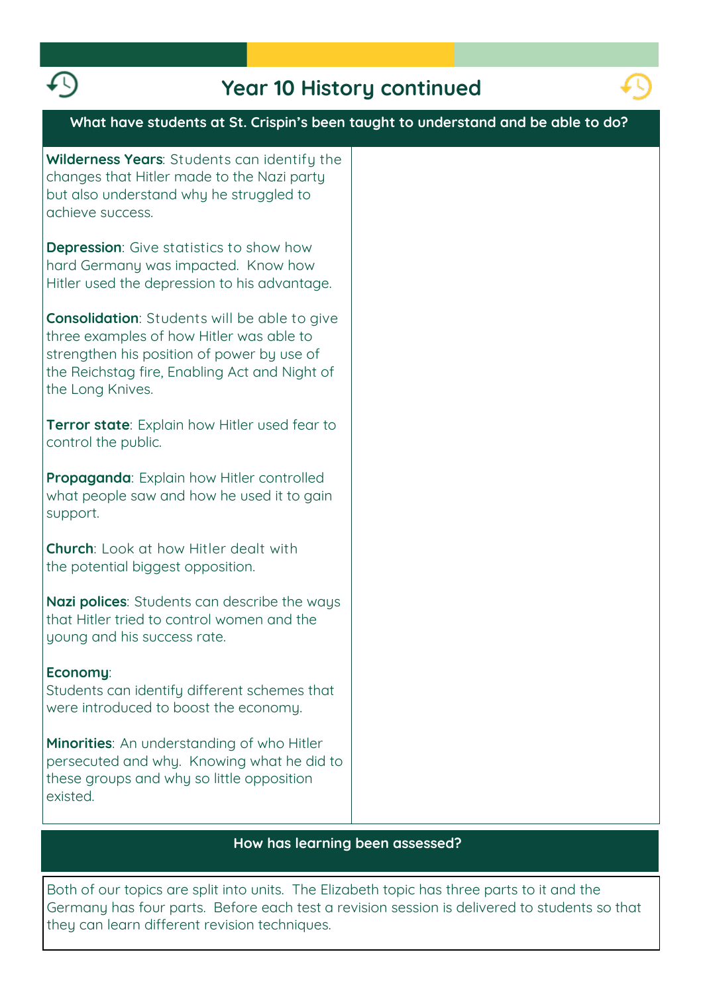

## **Year 10 History continued**



**Both of our topics are split into units. The Elizabeth topic has three parts to it and the Germany has four parts. Before each test a revision session is delivered to students so that they can learn different revision techniques.**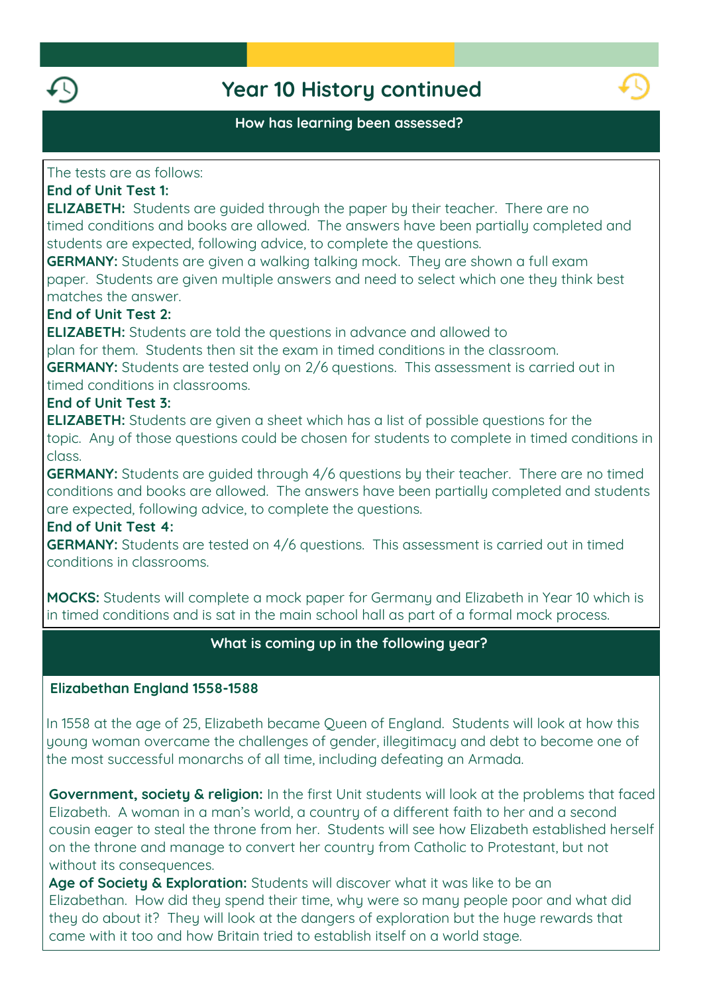

### **Year 10 History continued**



#### **How has learning been assessed?**

#### **The tests are as follows:**

### **End of Unit Test 1:**

**ELIZABETH: Students are guided through the paper by their teacher. There are no timed conditions and books are allowed. The answers have been partially completed and students are expected, following advice, to complete the questions.**

**GERMANY: Students are given a walking talking mock. They are shown a full exam paper. Students are given multiple answers and need to select which one they think best matches the answer.**

### **End of Unit Test 2:**

**ELIZABETH: Students are told the questions in advance and allowed to plan for them. Students then sit the exam in timed conditions in the classroom. GERMANY: Students are tested only on 2/6 questions. This assessment is carried out in timed conditions in classrooms.**

#### **End of Unit Test 3:**

**ELIZABETH: Students are given a sheet which has a list of possible questions for the topic. Any of those questions could be chosen for students to complete in timed conditions in class.**

**GERMANY: Students are guided through 4/6 questions by their teacher. There are no timed conditions and books are allowed. The answers have been partially completed and students are expected, following advice, to complete the questions.**

#### **End of Unit Test 4:**

**GERMANY: Students are tested on 4/6 questions. This assessment is carried out in timed conditions in classrooms.**

**MOCKS: Students will complete a mock paper for Germany and Elizabeth in Year 10 which is in timed conditions and is sat in the main school hall as part of a formal mock process.**

### **What is coming up in the following year?**

#### **Elizabethan England 1558-1588**

**In 1558 at the age of 25, Elizabeth became Queen of England. Students will look at how this young woman overcame the challenges of gender, illegitimacy and debt to become one of the most successful monarchs of all time, including defeating an Armada.**

**Government, society & religion: In the first Unit students will look at the problems that faced Elizabeth. A woman in a man's world, a country of a different faith to her and a second cousin eager to steal the throne from her. Students will see how Elizabeth established herself on the throne and manage to convert her country from Catholic to Protestant, but not without its consequences.**

**Age of Society & Exploration: Students will discover what it was like to be an Elizabethan. How did they spend their time, why were so many people poor and what did they do about it? They will look at the dangers of exploration but the huge rewards that came with it too and how Britain tried to establish itself on a world stage.**